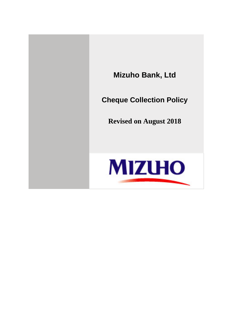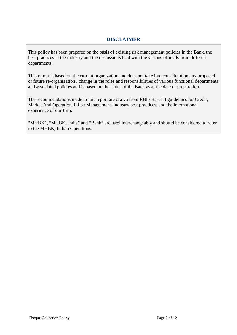### **DISCLAIMER**

This policy has been prepared on the basis of existing risk management policies in the Bank, the best practices in the industry and the discussions held with the various officials from different departments.

This report is based on the current organization and does not take into consideration any proposed or future re-organization / change in the roles and responsibilities of various functional departments and associated policies and is based on the status of the Bank as at the date of preparation.

The recommendations made in this report are drawn from RBI / Basel II guidelines for Credit, Market And Operational Risk Management, industry best practices, and the international experience of our firm.

"MHBK", "MHBK, India" and "Bank" are used interchangeably and should be considered to refer to the MHBK, Indian Operations.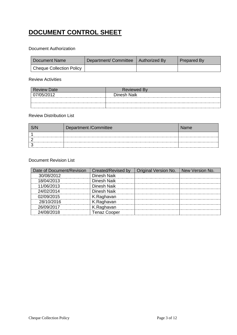# **DOCUMENT CONTROL SHEET**

#### Document Authorization

| Document Name                   | Department/ Committee   Authorized By | Prepared By |
|---------------------------------|---------------------------------------|-------------|
| <b>Cheque Collection Policy</b> |                                       |             |

#### Review Activities

| <b>Review Date</b> | <b>Reviewed By</b> |
|--------------------|--------------------|
| 07/05/2012         | Dinesh Naik        |
|                    |                    |
|                    |                    |

#### Review Distribution List

| Department /Committee | Name |
|-----------------------|------|
|                       |      |
|                       |      |
|                       |      |

#### Document Revision List

| Date of Document/Revision | Created/Revised by  | Original Version No. . | New Version No. |
|---------------------------|---------------------|------------------------|-----------------|
| 30/08/2012                | Dinesh Naik         |                        |                 |
| 18/04/2013                | Dinesh Naik         |                        |                 |
| 11/06/2013                | Dinesh Naik         |                        |                 |
| 24/02/2014                | Dinesh Naikl        |                        |                 |
| 02/09/2015                | K.Raghavan          |                        |                 |
| 28/10/2016                | K.Raghavan          |                        |                 |
| 26/09/2017                | K.Raghavan          |                        |                 |
| 24/08/2018                | <b>Tenaz Cooper</b> |                        |                 |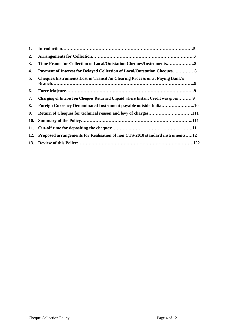<span id="page-3-0"></span>

| 1.  |                                                                                     |  |
|-----|-------------------------------------------------------------------------------------|--|
| 2.  |                                                                                     |  |
| 3.  |                                                                                     |  |
| 4.  | <b>Payment of Interest for Delayed Collection of Local/Outstation Cheques 8</b>     |  |
| 5.  | <b>Cheques/Instruments Lost in Transit /in Clearing Process or at Paying Bank's</b> |  |
| 6.  |                                                                                     |  |
| 7.  | Charging of Interest on Cheques Returned Unpaid where Instant Credit was given9     |  |
| 8.  | Foreign Currency Denominated Instrument payable outside India10                     |  |
| 9.  | Return of Cheques for technical reason and levy of charges111                       |  |
| 10. |                                                                                     |  |
| 11. |                                                                                     |  |
| 12. | Proposed arrangements for Realisation of non CTS-2010 standard instruments:12       |  |
|     |                                                                                     |  |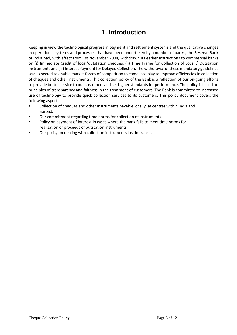## **1. Introduction**

Keeping in view the technological progress in payment and settlement systems and the qualitative changes in operational systems and processes that have been undertaken by a number of banks, the Reserve Bank of India had, with effect from 1st November 2004, withdrawn its earlier instructions to commercial banks on (i) Immediate Credit of local/outstation cheques, (ii) Time Frame for Collection of Local / Outstation Instruments and (iii) Interest Payment for Delayed Collection. The withdrawal of these mandatory guidelines was expected to enable market forces of competition to come into play to improve efficiencies in collection of cheques and other instruments. This collection policy of the Bank is a reflection of our on-going efforts to provide better service to our customers and set higher standards for performance. The policy is based on principles of transparency and fairness in the treatment of customers. The Bank is committed to increased use of technology to provide quick collection services to its customers. This policy document covers the following aspects:

- Collection of cheques and other instruments payable locally, at centres within India and abroad.
- Our commitment regarding time norms for collection of instruments.
- Policy on payment of interest in cases where the bank fails to meet time norms for realization of proceeds of outstation instruments.
- Our policy on dealing with collection instruments lost in transit.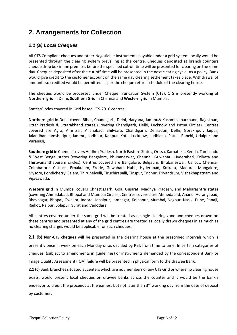# <span id="page-5-0"></span>**2. Arrangements for Collection**

### *2.1 (a) Local Cheques*

All CTS Compliant cheques and other Negotiable Instruments payable under a grid system locally would be presented through the clearing system prevailing at the centre. Cheques deposited at branch counters cheque drop box in the premises before the specified cut-off time will be presented for clearing on the same day. Cheques deposited after the cut-off time will be presented in the next clearing cycle. As a policy, Bank would give credit to the customer account on the same day clearing settlement takes place. Withdrawal of amounts so credited would be permitted as per the cheque return schedule of the clearing house.

The cheques would be processed under Cheque Truncation System (CTS). CTS is presently working at **Northern grid** in Delhi, **Southern Grid** in Chennai and **Western grid** in Mumbai.

States/Circles covered in Grid based CTS-2010 centres:

**Northern grid** in Delhi covers Bihar, Chandigarh, Delhi, Haryana, Jammu& Kashmir, Jharkhand, Rajasthan, Uttar Pradesh & Uttarakhand states (Covering Chandigarh, Delhi, Lucknow and Patna Circles). Centres covered are Agra, Amritsar, Allahabad, Bhilwara, Chandigarh, Dehradun, Delhi, Gorakhpur, Jaipur, Jalandhar, Jamshedpur, Jammu, Jodhpur, Kanpur, Kota, Lucknow, Ludhiana, Patna, Ranchi, Udaipur and Varanasi,

**Southern grid** in Chennai covers Andhra Pradesh, North Eastern States, Orissa, Karnataka, Kerala, Tamilnadu & West Bengal states (covering Bangalore, Bhubaneswar, Chennai, Guwahati, Hyderabad, Kolkata and Thiruvananthapuram circles). Centres covered are Bangalore, Belgaum, Bhubaneswar, Calicut, Chennai, Coimbatore, Cuttack, Ernakulum, Erode, Guwahati, Hubli, Hyderabad, Kolkata, Madurai, Mangalore, Mysore, Pondicherry, Salem, Thirunelvelli, Tiruchirapalli, Tirupur, Trichur, Trivandrum, Vishakhapatnam and Vijayawada.

**Western grid** in Mumbai covers Chhattisgarh, Goa, Gujarat, Madhya Pradesh, and Maharashtra states (covering Ahmedabad, Bhopal and Mumbai Circles). Centres covered are Ahmedabad, Anand, Aurangabad, Bhavnagar, Bhopal, Gwalior, Indore, Jabalpur, Jamnagar, Kolhapur, Mumbai, Nagpur, Nasik, Pune, Panaji, Rajkot, Raipur, Solapur, Surat and Vadodara.

All centres covered under the same grid will be treated as a single clearing zone and cheques drawn on these centres and presented at any of the grid centres are treated as locally drawn cheques in as much as no clearing charges would be applicable for such cheques.

**2.1 (b) Non-CTS cheques** will be presented in the clearing house at the prescribed intervals which is presently once in week on each Monday or as decided by RBI, from time to time. In certain categories of cheques, (subject to amendments in guidelines) or instruments demanded by the correspondent Bank or Image Quality Assessment (IQA) failure will be presented in physical form to the drawee Bank.

**2.1 (c)** Bank branches situated at centers which are not members of any CTS Grid or where no clearing house exists, would present local cheques on drawee banks across the counter and it would be the bank's endeavor to credit the proceeds at the earliest but not later than 3<sup>rd</sup> working day from the date of deposit by customer.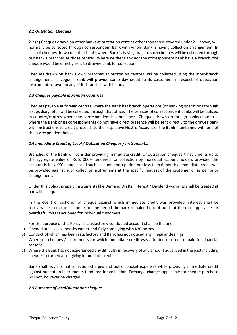#### *2.2 Outstation Cheques*

2.2 (a) Cheques drawn on other banks at outstation centres other than those covered under 2.1 above, will normally be collected through **c**orrespondent **b**ank with whom Bank is having collection arrangement. In case of cheques drawn on other banks where Bank is having branch, such cheques will be collected through our Bank's branches at those centres. Where neither Bank nor the **c**orrespondent **b**ank have a branch, the cheque would be directly sent to drawee bank for collection.

Cheques drawn on bank's own branches at outstation centres will be collected using the inter-branch arrangements in vogue. Bank will provide same day credit to its customers in respect of outstation instruments drawn on any of its branches with in India.

#### *2.3 Cheques payable in Foreign Countries*

Cheques payable at foreign centres where the **Bank** has branch operations (or banking operations through a subsidiary, etc.) will be collected through that office. The services of correspondent banks will be utilized in country/centres where the correspondent has presence. Cheques drawn on foreign banks at centres where the **Bank** or its correspondents do not have direct presence will be sent directly to the drawee bank with instructions to credit proceeds to the respective Nostro Account of the **Bank** maintained with one of the correspondent banks.

#### *2.4 Immediate Credit of Local / Outstation Cheques / Instruments:*

Branches of the **Bank** will consider providing immediate credit for outstation cheques / instruments up to the aggregate value of Rs.5, 000/- tendered for collection by individual account holders provided the account is fully KYC compliant of such accounts for a period not less than 6 months. Immediate credit will be provided against such collection instruments at the specific request of the customer or as per prior arrangement.

Under this policy, prepaid instruments like Demand Drafts, Interest / Dividend warrants shall be treated at par with cheques.

In the event of dishonor of cheque against which immediate credit was provided, interest shall be recoverable from the customer for the period the bank remained out of funds at the rate applicable for overdraft limits sanctioned for individual customers.

For the purpose of this Policy, a satisfactorily conducted account shall be the one,

- a) Opened at least six months earlier and fully complying with KYC norms.
- b) Conduct of which has been satisfactory and **B**ank has not noticed any irregular dealings.
- c) Where no cheques / instruments for which immediate credit was afforded returned unpaid for financial reasons
- d) Where the **B**ank has not experienced any difficulty in recovery of any amount advanced in the past including cheques returned after giving immediate credit.

Bank shall levy normal collection charges and out of pocket expenses while providing immediate credit against outstation instruments tendered for collection. Exchange charges applicable for cheque purchase will not, however be charged.

#### *2.5 Purchase of local/outstation cheques*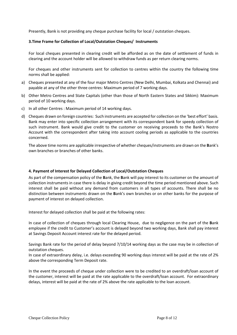<span id="page-7-0"></span>Presently, Bank is not providing any cheque purchase facility for local / outstation cheques.

#### **3.Time Frame for Collection of Local/Outstation Cheques/ Instruments**

For local cheques presented in clearing credit will be afforded as on the date of settlement of funds in clearing and the account holder will be allowed to withdraw funds as per return clearing norms.

For cheques and other instruments sent for collection to centres within the country the following time norms shall be applied:

- a) Cheques presented at any of the four major Metro Centres (New Delhi, Mumbai, Kolkata and Chennai) and payable at any of the other three centres: Maximum period of 7 working days.
- b) Other Metro Centres and State Capitals (other than those of North Eastern States and Sikkim): Maximum period of 10 working days.
- c) In all other Centres : Maximum period of 14 working days.
- d) Cheques drawn on foreign countries: Such instruments are accepted for collection on the 'best effort' basis. Bank may enter into specific collection arrangement with its correspondent bank for speedy collection of such instrument. Bank would give credit to the customer on receiving proceeds to the Bank's Nostro Account with the correspondent after taking into account cooling periods as applicable to the countries concerned.

<span id="page-7-1"></span>The above time norms are applicable irrespective of whether cheques/instruments are drawn on the **B**ank's own branches or branches of other banks.

#### **4. Payment of Interest for Delayed Collection of Local/Outstation Cheques**

As part of the compensation policy of the **B**ank, the **B**ank will pay interest to its customer on the amount of collection instruments in case there is delay in giving credit beyond the time period mentioned above. Such interest shall be paid without any demand from customers in all types of accounts. There shall be no distinction between instruments drawn on the **B**ank's own branches or on other banks for the purpose of payment of interest on delayed collection.

Interest for delayed collection shall be paid at the following rates:

In case of collection of cheques through local Clearing House, due to negligence on the part of the **B**ank employee if the credit to Customer's account is delayed beyond two working days, Bank shall pay interest at Savings Deposit Account interest rate for the delayed period.

Savings Bank rate for the period of delay beyond 7/10/14 working days as the case may be in collection of outstation cheques.

In case of extraordinary delay, i.e. delays exceeding 90 working days interest will be paid at the rate of 2% above the corresponding Term Deposit rate.

In the event the proceeds of cheque under collection were to be credited to an overdraft/loan account of the customer, interest will be paid at the rate applicable to the overdraft/loan account. For extraordinary delays, interest will be paid at the rate of 2% above the rate applicable to the loan account.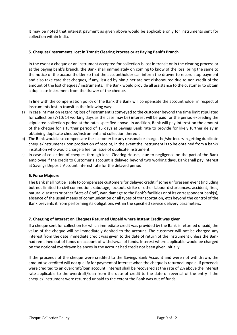It may be noted that interest payment as given above would be applicable only for instruments sent for collection within India.

#### <span id="page-8-0"></span>**5. Cheques/Instruments Lost in Transit Clearing Process or at Paying Bank's Branch**

In the event a cheque or an instrument accepted for collection is lost in transit or in the clearing process or at the paying bank's branch, the **B**ank shall immediately on coming to know of the loss, bring the same to the notice of the accountholder so that the accountholder can inform the drawer to record stop payment and also take care that cheques, if any, issued by him / her are not dishonoured due to non-credit of the amount of the lost cheques / instruments. The **B**ank would provide all assistance to the customer to obtain a duplicate instrument from the drawer of the cheque.

In line with the compensation policy of the Bank the **B**ank will compensate the accountholder in respect of instruments lost in transit in the following way:

- a) In case intimation regarding loss of instrument is conveyed to the customer beyond the time limit stipulated for collection (7/10/14 working days as the case may be) interest will be paid for the period exceeding the stipulated collection period at the rates specified above. In addition, **B**ank will pay interest on the amount of the cheque for a further period of 15 days at Savings Bank rate to provide for likely further delay in obtaining duplicate cheque/instrument and collection thereof.
- b) The **B**ank would also compensate the customer for any reasonable charges he/she incurs in getting duplicate cheque/instrument upon production of receipt, in the event the instrument is to be obtained from a bank/ institution who would charge a fee for issue of duplicate instrument.
- c) In case of collection of cheques through local Clearing House, due to negligence on the part of the **B**ank employee if the credit to Customer's account is delayed beyond two working days, Bank shall pay interest at Savings Deposit Account interest rate for the delayed period.

#### <span id="page-8-1"></span>**6. Force Majeure**

The Bank shall not be liable to compensate customers for delayed credit if some unforeseen event (including but not limited to civil commotion, sabotage, lockout, strike or other labour disturbances, accident, fires, natural disasters or other "Acts of God", war, damage to the Bank's facilities or of its correspondent bank(s), absence of the usual means of communication or all types of transportation, etc) beyond the control of the **B**ank prevents it from performing its obligations within the specified service delivery parameters.

#### <span id="page-8-2"></span>**7. Charging of Interest on Cheques Returned Unpaid where Instant Credit was given**

If a cheque sent for collection for which immediate credit was provided by the **B**ank is returned unpaid, the value of the cheque will be immediately debited to the account. The customer will not be charged any interest from the date immediate credit was given to the date of return of the instrument unless the **B**ank had remained out of funds on account of withdrawal of funds. Interest where applicable would be charged on the notional overdrawn balances in the account had credit not been given initially.

If the proceeds of the cheque were credited to the Savings Bank Account and were not withdrawn, the amount so credited will not qualify for payment of interest when the cheque is returned unpaid. If proceeds were credited to an overdraft/loan account, interest shall be recovered at the rate of 2% above the interest rate applicable to the overdraft/loan from the date of credit to the date of reversal of the entry if the cheque/ instrument were returned unpaid to the extent the Bank was out of funds.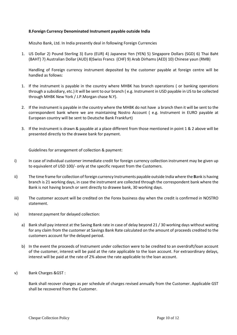#### <span id="page-9-0"></span>**8.Foreign Currency Denominated Instrument payable outside India**

Mizuho Bank, Ltd. In India presently deal in following Foreign Currencies

1. US Dollar 2) Pound Sterling 3) Euro (EUR) 4) Japanese Yen (YEN) 5) Singapore Dollars (SGD) 6) Thai Baht (BAHT) 7) Australian Dollar (AUD) 8)Swiss Francs (CHF) 9) Arab Dirhams (AED) 10) Chinese yaun (RMB)

Handling of Foreign currency instrument deposited by the customer payable at foreign centre will be handled as follows:

- 1. If the instrument is payable in the country where MHBK has branch operations ( or banking operations through a subsidiary, etc.) it will be sent to our branch ( e.g. Instrument in USD payable in US to be collected through MHBK New York / J.P.Morgan chase N.Y).
- 2. If the instrument is payable in the country where the MHBK do not have a branch then it will be sent to the correspondent bank where we are maintaining Nostro Account ( e.g. Instrument in EURO payable at European country will be sent to Deutsche Bank Frankfurt)
- 3. If the instrument is drawn & payable at a place different from those mentioned in point 1 & 2 above will be presented directly to the drawee bank for payment.

Guidelines for arrangement of collection & payment:

- i) In case of individual customer immediate credit for foreign currency collection instrument may be given up to equivalent of USD 100/- only at the specific request from the Customers.
- ii) The time frame for collection of foreign currency Instruments payable outside India where the **B**ank is having branch is 21 working days, in case the instrument are collected through the correspondent bank where the Bank is not having branch or sent directly to drawee bank, 30 working days.
- iii) The customer account will be credited on the Forex business day when the credit is confirmed in NOSTRO statement.
- iv) Interest payment for delayed collection:
	- a) Bank shall pay interest at the Saving Bank rate in case of delay beyond 21 / 30 working days without waiting for any claim from the customer at Savings Bank Rate calculated on the amount of proceeds credited to the customers account for the delayed period.
	- b) In the event the proceeds of Instrument under collection were to be credited to an overdraft/loan account of the customer, interest will be paid at the rate applicable to the loan account. For extraordinary delays, interest will be paid at the rate of 2% above the rate applicable to the loan account.
- v) Bank Charges &GST :

Bank shall recover charges as per schedule of charges revised annually from the Customer. Applicable GST shall be recovered from the Customer.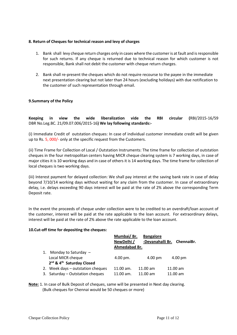#### <span id="page-10-0"></span>**8. Return of Cheques for technical reason and levy of charges**

- 1. Bank shall levy cheque return charges only in cases where the customer is at fault and is responsible for such returns. If any cheque is returned due to technical reason for which customer is not responsible, Bank shall not debit the customer with cheque return charges.
- 2. Bank shall re-present the cheques which do not require recourse to the payee in the immediate next presentation clearing but not later than 24 hours (excluding holidays) with due notification to the customer of such representation through email.

#### <span id="page-10-1"></span>**9.Summary of the Policy**

**Keeping in view the wide liberalization vide the RBI circular (**RBI/2015-16/59 DBR No.Leg.BC. 21/09.07.006/2015-16**) We lay following standards:-**

(i) Immediate Credit of outstation cheques: In case of individual customer immediate credit will be given up to Rs. 5, 000/- only at the specific request from the Customers.

(ii) Time Frame for Collection of Local / Outstation Instruments: The time frame for collection of outstation cheques in the four metropolitan centers having MICR cheque clearing system is 7 working days, in case of major cities it is 10 working days and in case of others it is 14 working days. The time frame for collection of local cheques is two working days.

(iii) Interest payment for delayed collection: We shall pay interest at the saving bank rate in case of delay beyond 7/10/14 working days without waiting for any claim from the customer. In case of extraordinary delay, i.e. delays exceeding 90 days interest will be paid at the rate of 2% above the corresponding Term Deposit rate.

In the event the proceeds of cheque under collection were to be credited to an overdraft/loan account of the customer, interest will be paid at the rate applicable to the loan account. For extraordinary delays, interest will be paid at the rate of 2% above the rate applicable to the loan account.

#### <span id="page-10-2"></span>**10.Cut-off time for depositing the cheques:**

|    |                                                                                                  | Mumbai/ Br.<br>NewDelhi /<br>Ahmedabad Br. | <b>Bangalore</b><br>-Devanahalli Br.     | ChennaiBr.             |
|----|--------------------------------------------------------------------------------------------------|--------------------------------------------|------------------------------------------|------------------------|
| 1. | Monday to Saturday $-$<br>Local MICR cheque<br>2 <sup>nd</sup> & 4 <sup>th</sup> Saturday Closed | $4.00 \,\mathrm{pm}$ .                     | $4.00 \text{ pm}$                        | 4.00 pm                |
|    | 2. Week days - outstation cheques<br>3. Saturday - Outstation cheques                            | $11.00$ am.<br>$11.00$ am.                 | $11.00 \text{ am}$<br>$11.00 \text{ am}$ | $11.00$ am<br>11.00 am |

**Note:** 1. In case of Bulk Deposit of cheques, same will be presented in Next day clearing. (Bulk cheques for Chennai would be 50 cheques or more)